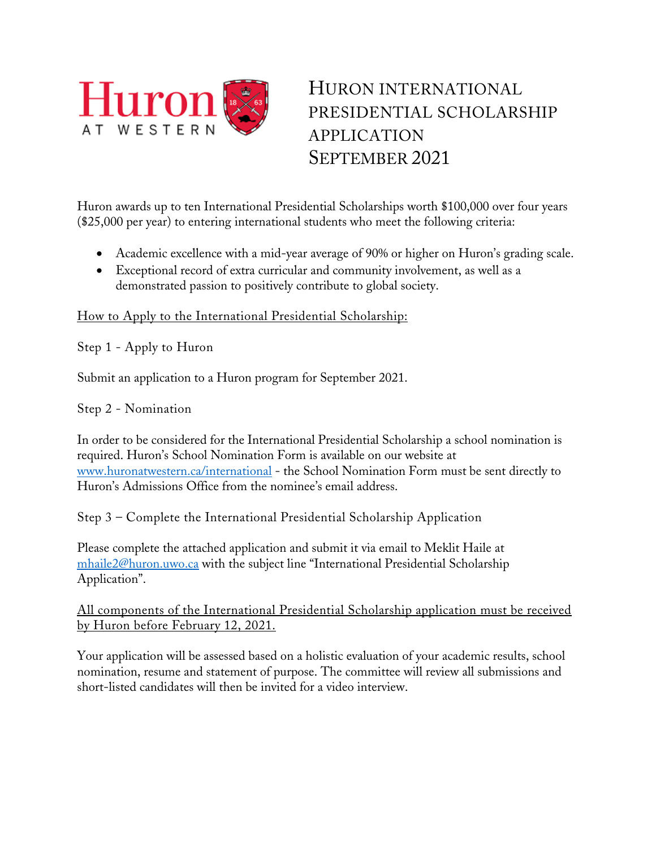

## HURON INTERNATIONAL PRESIDENTIAL SCHOLARSHIP APPLICATION SEPTEMBER 2021

Huron awards up to ten International Presidential Scholarships worth \$100,000 over four years (\$25,000 per year) to entering international students who meet the following criteria:

- Academic excellence with a mid-year average of 90% or higher on Huron's grading scale.
- Exceptional record of extra curricular and community involvement, as well as a demonstrated passion to positively contribute to global society.

## How to Apply to the International Presidential Scholarship:

Step 1 - Apply to Huron

Submit an application to a Huron program for September 2021.

Step 2 - Nomination

In order to be considered for the International Presidential Scholarship a school nomination is required. Huron's School Nomination Form is available on our website at [www.huronatwestern.ca/international](http://www.huronatwestern.ca/international) - the School Nomination Form must be sent directly to Huron's Admissions Office from the nominee's email address.

Step 3 – Complete the International Presidential Scholarship Application

Please complete the attached application and submit it via email to Meklit Haile at [mhaile2@huron.uwo.ca](mailto:mhaile2@huron.uwo.ca) with the subject line "International Presidential Scholarship Application".

## All components of the International Presidential Scholarship application must be received by Huron before February 12, 2021.

Your application will be assessed based on a holistic evaluation of your academic results, school nomination, resume and statement of purpose. The committee will review all submissions and short-listed candidates will then be invited for a video interview.